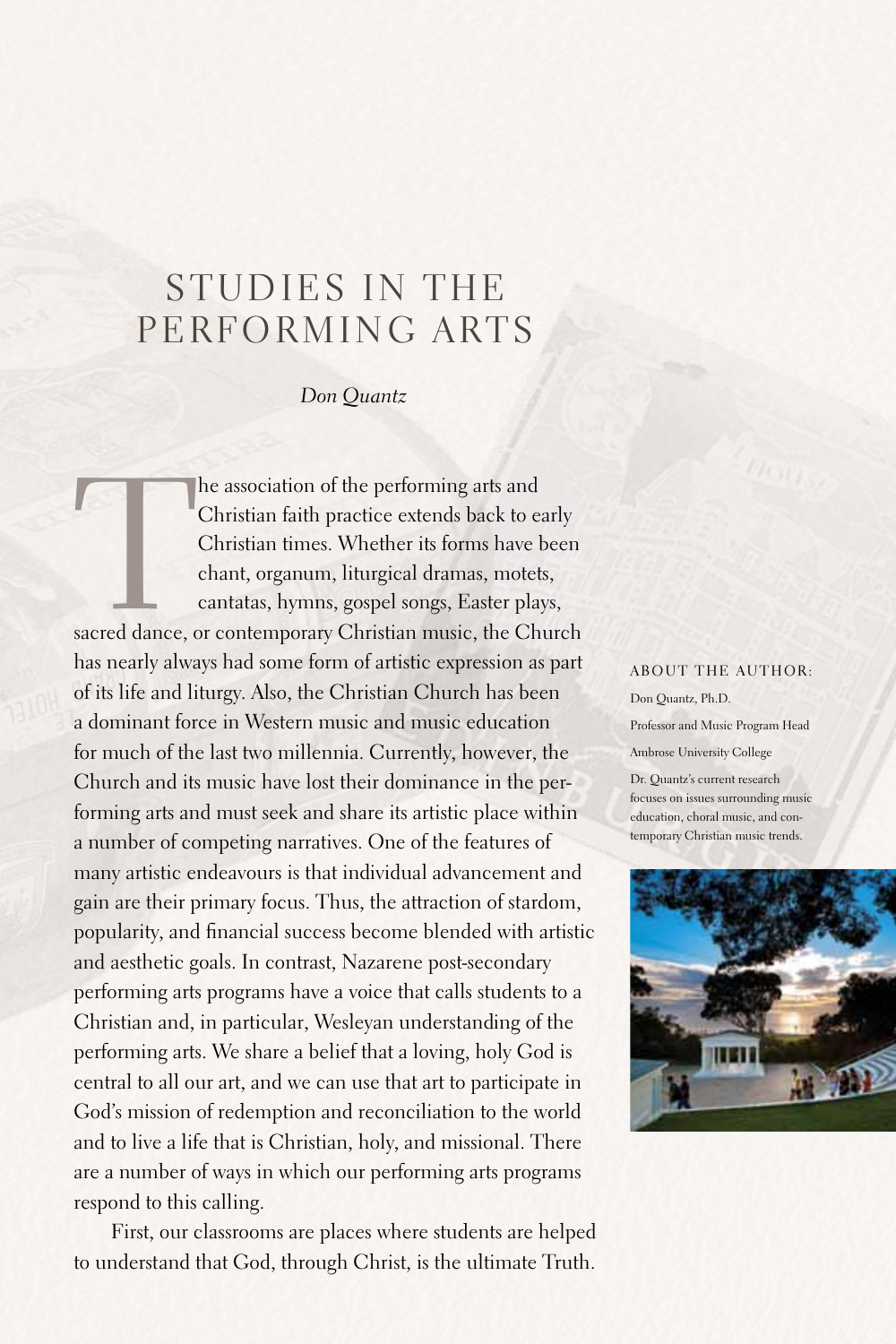## STUDIES IN THE PERFORMING ARTS

## *Don Quantz*

The association of the performing arts and Christian faith practice extends back to early Christian times. Whether its forms have been chant, organum, liturgical dramas, motets, cantatas, hymns, gospel songs, Easter plays, Christian faith practice extends back to early Christian times. Whether its forms have been chant, organum, liturgical dramas, motets, cantatas, hymns, gospel songs, Easter plays,

has nearly always had some form of artistic expression as part of its life and liturgy.Also, the Christian Church has been a dominant force in Western music and music education for much of the last two millennia. Currently, however, the Church and its music have lost their dominance in the performing arts and must seek and share its artistic place within a number of competing narratives. One of the features of many artistic endeavours is that individual advancement and gain are their primary focus. Thus, the attraction of stardom, popularity, and financial success become blended with artistic and aesthetic goals. In contrast, Nazarene post-secondary performing arts programs have a voice that calls students to a Christian and, in particular, Wesleyan understanding of the performing arts. We share a belief that a loving, holy God is central to all our art, and we can use that art to participate in God's mission of redemption and reconciliation to the world and to live a life that is Christian, holy, and missional. There are a number of ways in which our performing arts programs respond to this calling.

First, our classrooms are places where students are helped to understand that God, through Christ, is the ultimate Truth.

## ABOUT THE AUTHOR:

Don Quantz, Ph.D. Professor and Music Program Head Ambrose University College

Dr. Quantz's current research focuses on issues surrounding music education, choral music, and contemporary Christian music trends.

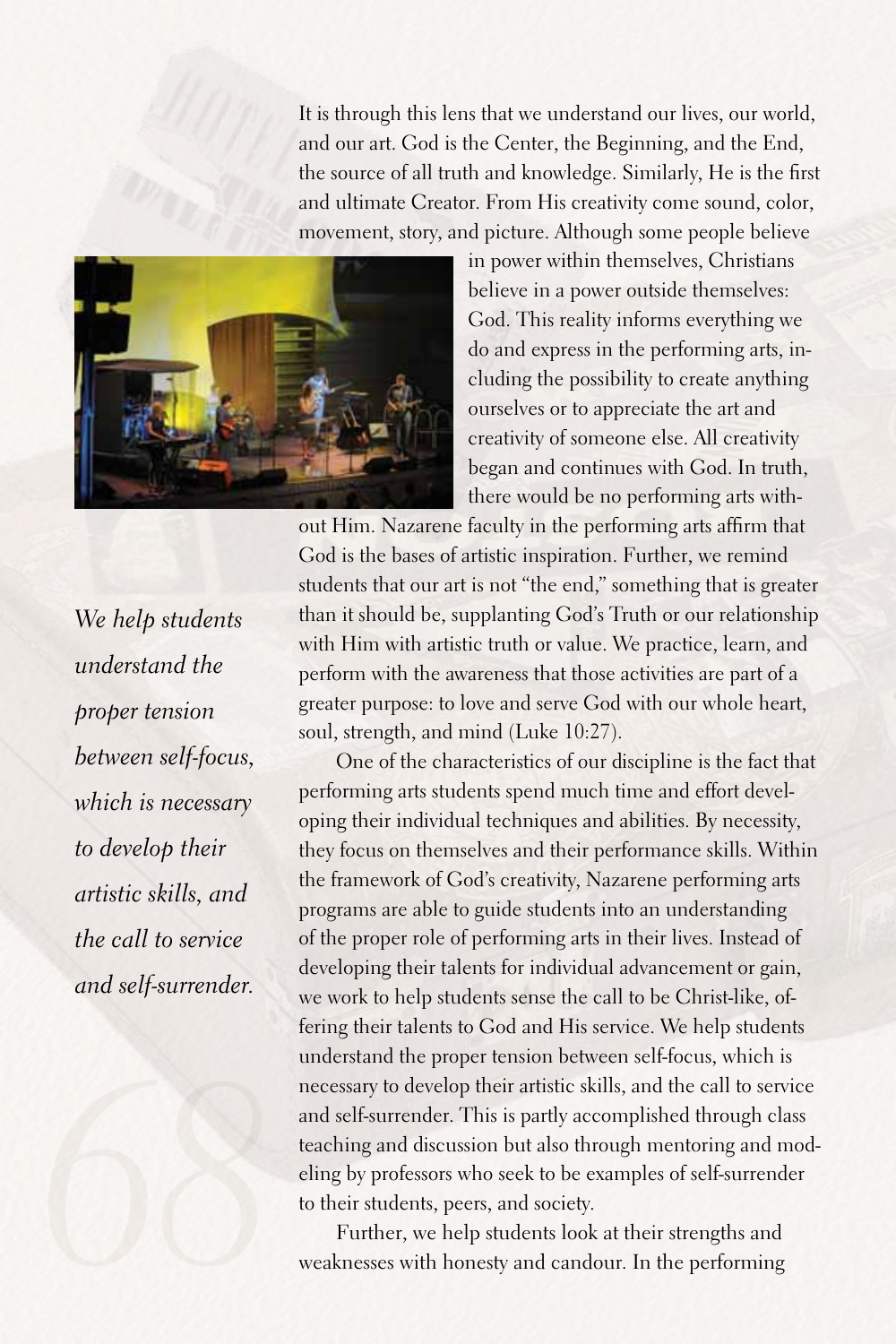It is through this lens that we understand our lives, our world, and our art. God is the Center, the Beginning, and the End, the source of all truth and knowledge.Similarly, He is the first and ultimate Creator. From His creativity come sound, color, movement, story, and picture. Although some people believe



in power within themselves, Christians believe in a power outside themselves: God. This reality informs everything we do and express in the performing arts, including the possibility to create anything ourselves or to appreciate the art and creativity of someone else.All creativity began and continues with God. In truth, there would be no performing arts with-

out Him. Nazarene faculty in the performing arts affirm that God is the bases of artistic inspiration. Further, we remind students that our art is not "the end," something that is greater than it should be, supplanting God's Truth or our relationship with Him with artistic truth or value. We practice, learn, and perform with the awareness that those activities are part of a greater purpose: to love and serve God with our whole heart, soul, strength, and mind (Luke 10:27).

One of the characteristics of our discipline is the fact that performing arts students spend much time and effort developing their individual techniques and abilities.By necessity, they focus on themselves and their performance skills. Within the framework of God's creativity, Nazarene performing arts programs are able to guide students into an understanding of the proper role of performing arts in their lives. Instead of developing their talents for individual advancement or gain, we work to help students sense the call to be Christ-like, offering their talents to God and His service. We help students understand the proper tension between self-focus, which is necessary to develop their artistic skills, and the call to service and self-surrender. This is partly accomplished through class teaching and discussion but also through mentoring and modeling by professors who seek to be examples of self-surrender to their students, peers, and society.

Further, we help students look at their strengths and weaknesses with honesty and candour. In the performing

*We help students understand the proper tension between self-focus, which is necessary to develop their artistic skills, and the call to service and self-surrender.*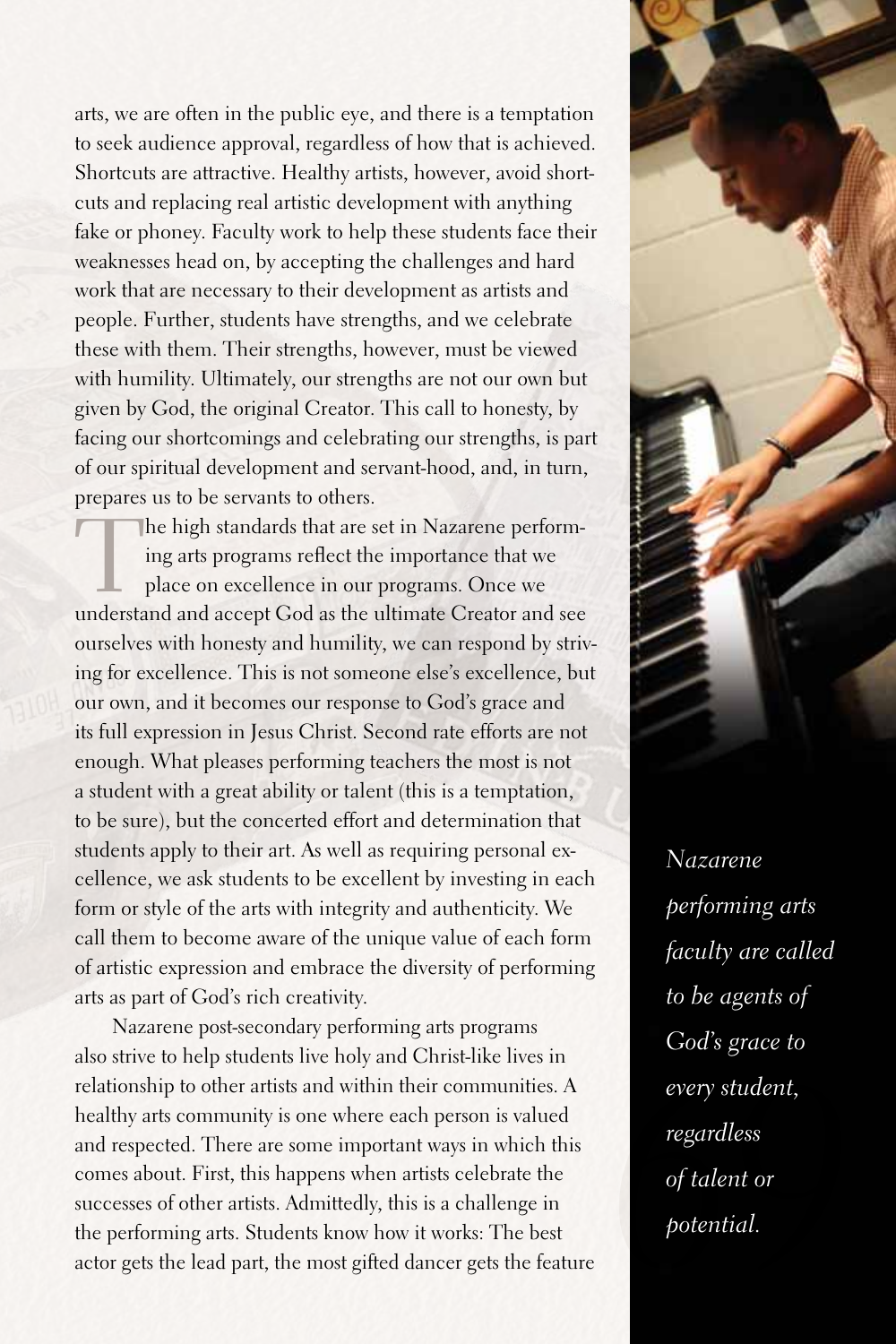arts, we are often in the public eye, and there is a temptation to seek audience approval, regardless of how that is achieved. Shortcuts are attractive. Healthy artists, however, avoid shortcuts and replacing real artistic development with anything fake or phoney. Faculty work to help these students face their weaknesses head on, by accepting the challenges and hard work that are necessary to their development as artists and people.Further, students have strengths, and we celebrate these with them. Their strengths, however, must be viewed with humility. Ultimately, our strengths are not our own but given by God, the original Creator. This call to honesty, by facing our shortcomings and celebrating our strengths, is part of our spiritual development and servant-hood, and, in turn, prepares us to be servants to others.

The high standards that are set in Nazarene performing arts programs reflect the importance that we place on excellence in our programs. Once we understand and accept God as the ultimate Creator and see ourselves with honesty and humility, we can respond by striving for excellence. This is not someone else's excellence, but our own, and it becomes our response to God's grace and its full expression in Jesus Christ. Second rate efforts are not enough. What pleases performing teachers the most is not a student with a great ability or talent (this is a temptation, to be sure), but the concerted effort and determination that students apply to their art. As well as requiring personal excellence, we ask students to be excellent by investing in each form or style of the arts with integrity and authenticity. We call them to become aware of the unique value of each form of artistic expression and embrace the diversity of performing arts as part of God's rich creativity.

Nazarene post-secondary performing arts programs also strive to help students live holy and Christ-like lives in relationship to other artists and within their communities.A healthy arts community is one where each person is valued and respected. There are some important ways in which this comes about.First, this happens when artists celebrate the successes of other artists. Admittedly, this is a challenge in the performing arts. Students know how it works: The best actor gets the lead part, the most gifted dancer gets the feature